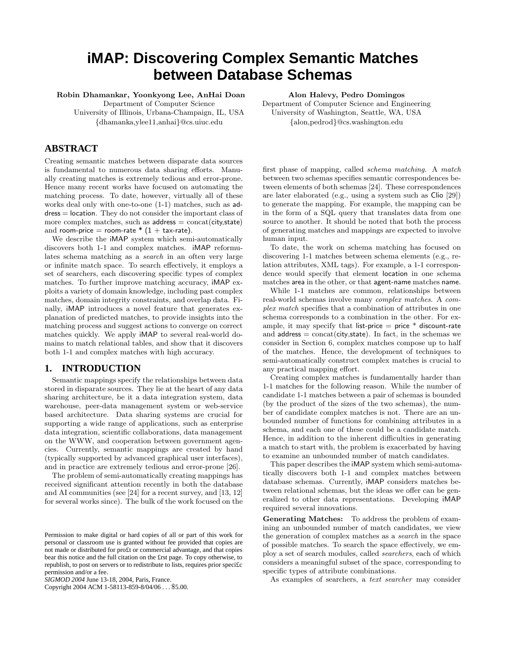# **iMAP: Discovering Complex Semantic Matches between Database Schemas**

Robin Dhamankar, Yoonkyong Lee, AnHai Doan Department of Computer Science University of Illinois, Urbana-Champaign, IL, USA {dhamanka,ylee11,anhai}@cs.uiuc.edu

# **ABSTRACT**

Creating semantic matches between disparate data sources is fundamental to numerous data sharing efforts. Manually creating matches is extremely tedious and error-prone. Hence many recent works have focused on automating the matching process. To date, however, virtually all of these works deal only with one-to-one (1-1) matches, such as address = location. They do not consider the important class of more complex matches, such as  $address = concat(city, state)$ and room-price = room-rate  $*(1 + tax-rate)$ .

We describe the *MAP* system which semi-automatically discovers both 1-1 and complex matches. iMAP reformulates schema matching as a search in an often very large or infinite match space. To search effectively, it employs a set of searchers, each discovering specific types of complex matches. To further improve matching accuracy, iMAP exploits a variety of domain knowledge, including past complex matches, domain integrity constraints, and overlap data. Finally, iMAP introduces a novel feature that generates explanation of predicted matches, to provide insights into the matching process and suggest actions to converge on correct matches quickly. We apply iMAP to several real-world domains to match relational tables, and show that it discovers both 1-1 and complex matches with high accuracy.

## **1. INTRODUCTION**

Semantic mappings specify the relationships between data stored in disparate sources. They lie at the heart of any data sharing architecture, be it a data integration system, data warehouse, peer-data management system or web-service based architecture. Data sharing systems are crucial for supporting a wide range of applications, such as enterprise data integration, scientific collaborations, data management on the WWW, and cooperation between government agencies. Currently, semantic mappings are created by hand (typically supported by advanced graphical user interfaces), and in practice are extremely tedious and error-prone [26].

The problem of semi-automatically creating mappings has received significant attention recently in both the database and AI communities (see [24] for a recent survey, and [13, 12] for several works since). The bulk of the work focused on the

*SIGMOD 2004* June 13-18, 2004, Paris, France.

Copyright 2004 ACM 1-58113-859-8/04/06 . . . \$5.00.

Alon Halevy, Pedro Domingos Department of Computer Science and Engineering University of Washington, Seattle, WA, USA {alon,pedrod}@cs.washington.edu

first phase of mapping, called schema matching. A match between two schemas specifies semantic correspondences between elements of both schemas [24]. These correspondences are later elaborated (e.g., using a system such as Clio [29]) to generate the mapping. For example, the mapping can be in the form of a SQL query that translates data from one source to another. It should be noted that both the process of generating matches and mappings are expected to involve human input.

To date, the work on schema matching has focused on discovering 1-1 matches between schema elements (e.g., relation attributes, XML tags). For example, a 1-1 correspondence would specify that element location in one schema matches area in the other, or that agent-name matches name.

While 1-1 matches are common, relationships between real-world schemas involve many complex matches. A complex match specifies that a combination of attributes in one schema corresponds to a combination in the other. For example, it may specify that list-price  $=$  price  $*$  discount-rate and address  $=$  concat(city, state). In fact, in the schemas we consider in Section 6, complex matches compose up to half of the matches. Hence, the development of techniques to semi-automatically construct complex matches is crucial to any practical mapping effort.

Creating complex matches is fundamentally harder than 1-1 matches for the following reason. While the number of candidate 1-1 matches between a pair of schemas is bounded (by the product of the sizes of the two schemas), the number of candidate complex matches is not. There are an unbounded number of functions for combining attributes in a schema, and each one of these could be a candidate match. Hence, in addition to the inherent difficulties in generating a match to start with, the problem is exacerbated by having to examine an unbounded number of match candidates.

This paper describes the iMAP system which semi-automatically discovers both 1-1 and complex matches between database schemas. Currently, iMAP considers matches between relational schemas, but the ideas we offer can be generalized to other data representations. Developing iMAP required several innovations.

Generating Matches: To address the problem of examining an unbounded number of match candidates, we view the generation of complex matches as a search in the space of possible matches. To search the space effectively, we employ a set of search modules, called searchers, each of which considers a meaningful subset of the space, corresponding to specific types of attribute combinations.

As examples of searchers, a text searcher may consider

Permission to make digital or hard copies of all or part of this work for personal or classroom use is granted without fee provided that copies are not made or distributed for pro£t or commercial advantage, and that copies bear this notice and the full citation on the £rst page. To copy otherwise, to republish, to post on servers or to redistribute to lists, requires prior speci£c permission and/or a fee.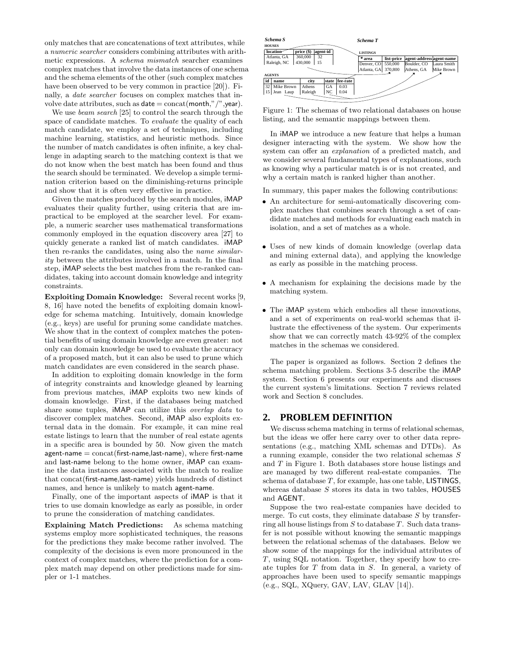only matches that are concatenations of text attributes, while a numeric searcher considers combining attributes with arithmetic expressions. A schema mismatch searcher examines complex matches that involve the data instances of one schema and the schema elements of the other (such complex matches have been observed to be very common in practice [20]). Finally, a date searcher focuses on complex matches that involve date attributes, such as  $\text{date} = \text{concat}(\text{month}, "}/", \text{year}).$ 

We use beam search [25] to control the search through the space of candidate matches. To *evaluate* the quality of each match candidate, we employ a set of techniques, including machine learning, statistics, and heuristic methods. Since the number of match candidates is often infinite, a key challenge in adapting search to the matching context is that we do not know when the best match has been found and thus the search should be terminated. We develop a simple termination criterion based on the diminishing-returns principle and show that it is often very effective in practice.

Given the matches produced by the search modules, iMAP evaluates their quality further, using criteria that are impractical to be employed at the searcher level. For example, a numeric searcher uses mathematical transformations commonly employed in the equation discovery area [27] to quickly generate a ranked list of match candidates. iMAP then re-ranks the candidates, using also the name similarity between the attributes involved in a match. In the final step, iMAP selects the best matches from the re-ranked candidates, taking into account domain knowledge and integrity constraints.

Exploiting Domain Knowledge: Several recent works [9, 8, 16] have noted the benefits of exploiting domain knowledge for schema matching. Intuitively, domain knowledge (e.g., keys) are useful for pruning some candidate matches. We show that in the context of complex matches the potential benefits of using domain knowledge are even greater: not only can domain knowledge be used to evaluate the accuracy of a proposed match, but it can also be used to prune which match candidates are even considered in the search phase.

In addition to exploiting domain knowledge in the form of integrity constraints and knowledge gleaned by learning from previous matches, iMAP exploits two new kinds of domain knowledge. First, if the databases being matched share some tuples, iMAP can utilize this overlap data to discover complex matches. Second, iMAP also exploits external data in the domain. For example, it can mine real estate listings to learn that the number of real estate agents in a specific area is bounded by 50. Now given the match  $agent$ -name  $=$   $concat(first$ -name, last-name), where first-name and last-name belong to the home owner, iMAP can examine the data instances associated with the match to realize that concat(first-name,last-name) yields hundreds of distinct names, and hence is unlikely to match agent-name.

Finally, one of the important aspects of iMAP is that it tries to use domain knowledge as early as possible, in order to prune the consideration of matching candidates.

Explaining Match Predictions: As schema matching systems employ more sophisticated techniques, the reasons for the predictions they make become rather involved. The complexity of the decisions is even more pronounced in the context of complex matches, where the prediction for a complex match may depend on other predictions made for simpler or 1-1 matches.



Figure 1: The schemas of two relational databases on house listing, and the semantic mappings between them.

In iMAP we introduce a new feature that helps a human designer interacting with the system. We show how the system can offer an explanation of a predicted match, and we consider several fundamental types of explanations, such as knowing why a particular match is or is not created, and why a certain match is ranked higher than another.

In summary, this paper makes the following contributions:

- An architecture for semi-automatically discovering complex matches that combines search through a set of candidate matches and methods for evaluating each match in isolation, and a set of matches as a whole.
- Uses of new kinds of domain knowledge (overlap data and mining external data), and applying the knowledge as early as possible in the matching process.
- A mechanism for explaining the decisions made by the matching system.
- The iMAP system which embodies all these innovations, and a set of experiments on real-world schemas that illustrate the effectiveness of the system. Our experiments show that we can correctly match 43-92% of the complex matches in the schemas we considered.

The paper is organized as follows. Section 2 defines the schema matching problem. Sections 3-5 describe the iMAP system. Section 6 presents our experiments and discusses the current system's limitations. Section 7 reviews related work and Section 8 concludes.

## **2. PROBLEM DEFINITION**

We discuss schema matching in terms of relational schemas, but the ideas we offer here carry over to other data representations (e.g., matching XML schemas and DTDs). As a running example, consider the two relational schemas S and T in Figure 1. Both databases store house listings and are managed by two different real-estate companies. The schema of database  $T$ , for example, has one table, **LISTINGS**, whereas database  $S$  stores its data in two tables,  $HOUSES$ and AGENT.

Suppose the two real-estate companies have decided to merge. To cut costs, they eliminate database  $S$  by transferring all house listings from  $S$  to database  $T$ . Such data transfer is not possible without knowing the semantic mappings between the relational schemas of the databases. Below we show some of the mappings for the individual attributes of T, using SQL notation. Together, they specify how to create tuples for T from data in S. In general, a variety of approaches have been used to specify semantic mappings (e.g., SQL, XQuery, GAV, LAV, GLAV [14]).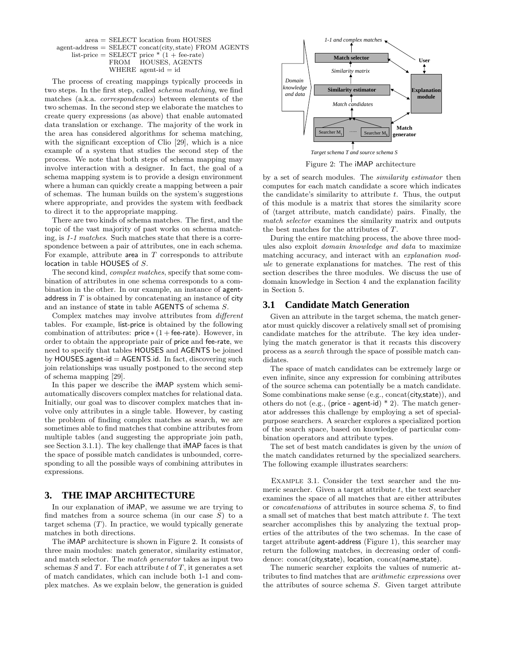

The process of creating mappings typically proceeds in two steps. In the first step, called schema matching, we find matches (a.k.a. correspondences) between elements of the two schemas. In the second step we elaborate the matches to create query expressions (as above) that enable automated data translation or exchange. The majority of the work in the area has considered algorithms for schema matching, with the significant exception of Clio [29], which is a nice example of a system that studies the second step of the process. We note that both steps of schema mapping may involve interaction with a designer. In fact, the goal of a schema mapping system is to provide a design environment where a human can quickly create a mapping between a pair of schemas. The human builds on the system's suggestions where appropriate, and provides the system with feedback to direct it to the appropriate mapping.

There are two kinds of schema matches. The first, and the topic of the vast majority of past works on schema matching, is 1-1 matches. Such matches state that there is a correspondence between a pair of attributes, one in each schema. For example, attribute area in  $T$  corresponds to attribute location in table HOUSES of S.

The second kind, *complex matches*, specify that some combination of attributes in one schema corresponds to a combination in the other. In our example, an instance of agentaddress in  $T$  is obtained by concatenating an instance of city and an instance of state in table AGENTS of schema S.

Complex matches may involve attributes from different tables. For example, list-price is obtained by the following combination of attributes:  $price * (1 + fee - rate)$ . However, in order to obtain the appropriate pair of price and fee-rate, we need to specify that tables HOUSES and AGENTS be joined by  $HOUSES.append-id = AGENTS.id$ . In fact, discovering such join relationships was usually postponed to the second step of schema mapping [29].

In this paper we describe the iMAP system which semiautomatically discovers complex matches for relational data. Initially, our goal was to discover complex matches that involve only attributes in a single table. However, by casting the problem of finding complex matches as search, we are sometimes able to find matches that combine attributes from multiple tables (and suggesting the appropriate join path, see Section 3.1.1). The key challenge that iMAP faces is that the space of possible match candidates is unbounded, corresponding to all the possible ways of combining attributes in expressions.

#### **3. THE IMAP ARCHITECTURE**

In our explanation of iMAP, we assume we are trying to find matches from a source schema (in our case  $S$ ) to a target schema  $(T)$ . In practice, we would typically generate matches in both directions.

The iMAP architecture is shown in Figure 2. It consists of three main modules: match generator, similarity estimator, and match selector. The match generator takes as input two schemas  $S$  and  $T$ . For each attribute  $t$  of  $T$ , it generates a set of match candidates, which can include both 1-1 and complex matches. As we explain below, the generation is guided



Figure 2: The iMAP architecture

by a set of search modules. The similarity estimator then computes for each match candidate a score which indicates the candidate's similarity to attribute  $t$ . Thus, the output of this module is a matrix that stores the similarity score of  $\langle$  target attribute, match candidate $\rangle$  pairs. Finally, the match selector examines the similarity matrix and outputs the best matches for the attributes of T.

During the entire matching process, the above three modules also exploit domain knowledge and data to maximize matching accuracy, and interact with an explanation module to generate explanations for matches. The rest of this section describes the three modules. We discuss the use of domain knowledge in Section 4 and the explanation facility in Section 5.

#### **3.1 Candidate Match Generation**

Given an attribute in the target schema, the match generator must quickly discover a relatively small set of promising candidate matches for the attribute. The key idea underlying the match generator is that it recasts this discovery process as a search through the space of possible match candidates.

The space of match candidates can be extremely large or even infinite, since any expression for combining attributes of the source schema can potentially be a match candidate. Some combinations make sense (e.g., concat(city, state)), and others do not (e.g., (price - agent-id)  $*$  2). The match generator addresses this challenge by employing a set of specialpurpose searchers. A searcher explores a specialized portion of the search space, based on knowledge of particular combination operators and attribute types.

The set of best match candidates is given by the union of the match candidates returned by the specialized searchers. The following example illustrates searchers:

Example 3.1. Consider the text searcher and the numeric searcher. Given a target attribute  $t$ , the text searcher examines the space of all matches that are either attributes or concatenations of attributes in source schema S, to find a small set of matches that best match attribute t. The text searcher accomplishes this by analyzing the textual properties of the attributes of the two schemas. In the case of target attribute agent-address (Figure 1), this searcher may return the following matches, in decreasing order of confidence: concat(city, state), location, concat(name, state).

The numeric searcher exploits the values of numeric attributes to find matches that are arithmetic expressions over the attributes of source schema S. Given target attribute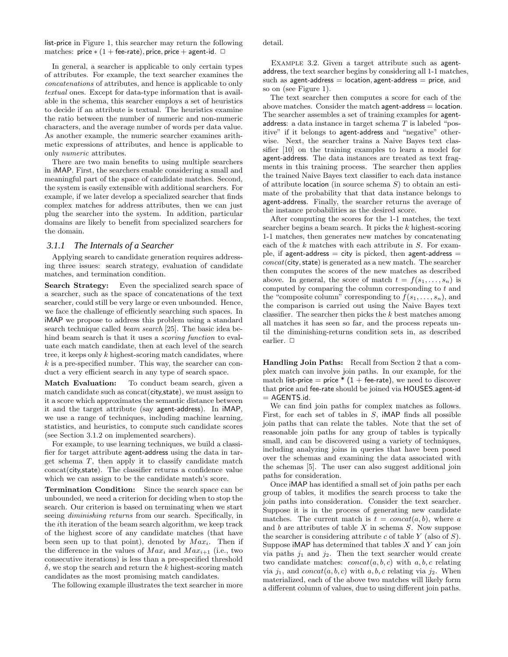list-price in Figure 1, this searcher may return the following matches: price  $*(1 + \text{fee-rate})$ , price, price + agent-id.  $\Box$ 

In general, a searcher is applicable to only certain types of attributes. For example, the text searcher examines the concatenations of attributes, and hence is applicable to only textual ones. Except for data-type information that is available in the schema, this searcher employs a set of heuristics to decide if an attribute is textual. The heuristics examine the ratio between the number of numeric and non-numeric characters, and the average number of words per data value. As another example, the numeric searcher examines arithmetic expressions of attributes, and hence is applicable to only numeric attributes.

There are two main benefits to using multiple searchers in iMAP. First, the searchers enable considering a small and meaningful part of the space of candidate matches. Second, the system is easily extensible with additional searchers. For example, if we later develop a specialized searcher that finds complex matches for address attributes, then we can just plug the searcher into the system. In addition, particular domains are likely to benefit from specialized searchers for the domain.

#### *3.1.1 The Internals of a Searcher*

Applying search to candidate generation requires addressing three issues: search strategy, evaluation of candidate matches, and termination condition.

Search Strategy: Even the specialized search space of a searcher, such as the space of concatenations of the text searcher, could still be very large or even unbounded. Hence, we face the challenge of efficiently searching such spaces. In iMAP we propose to address this problem using a standard search technique called beam search [25]. The basic idea behind beam search is that it uses a *scoring function* to evaluate each match candidate, then at each level of the search tree, it keeps only  $k$  highest-scoring match candidates, where  $k$  is a pre-specified number. This way, the searcher can conduct a very efficient search in any type of search space.

Match Evaluation: To conduct beam search, given a match candidate such as concat (city, state), we must assign to it a score which approximates the semantic distance between it and the target attribute (say agent-address). In iMAP, we use a range of techniques, including machine learning, statistics, and heuristics, to compute such candidate scores (see Section 3.1.2 on implemented searchers).

For example, to use learning techniques, we build a classifier for target attribute agent-address using the data in target schema  $T$ , then apply it to classify candidate match concat(city,state). The classifier returns a confidence value which we can assign to be the candidate match's score.

Termination Condition: Since the search space can be unbounded, we need a criterion for deciding when to stop the search. Our criterion is based on terminating when we start seeing *diminishing returns* from our search. Specifically, in the ith iteration of the beam search algorithm, we keep track of the highest score of any candidate matches (that have been seen up to that point), denoted by  $Max_i$ . Then if the difference in the values of  $Max_i$  and  $Max_{i+1}$  (i.e., two consecutive iterations) is less than a pre-specified threshold  $\delta$ , we stop the search and return the k highest-scoring match candidates as the most promising match candidates.

The following example illustrates the text searcher in more

detail.

Example 3.2. Given a target attribute such as agentaddress, the text searcher begins by considering all 1-1 matches, such as agent-address  $=$  location, agent-address  $=$  price, and so on (see Figure 1).

The text searcher then computes a score for each of the above matches. Consider the match agent-address = location. The searcher assembles a set of training examples for agentaddress: a data instance in target schema  $T$  is labeled "positive" if it belongs to agent-address and "negative" otherwise. Next, the searcher trains a Naive Bayes text classifier [10] on the training examples to learn a model for agent-address. The data instances are treated as text fragments in this training process. The searcher then applies the trained Naive Bayes text classifier to each data instance of attribute location (in source schema  $S$ ) to obtain an estimate of the probability that that data instance belongs to agent-address. Finally, the searcher returns the average of the instance probabilities as the desired score.

After computing the scores for the 1-1 matches, the text searcher begins a beam search. It picks the  $k$  highest-scoring 1-1 matches, then generates new matches by concatenating each of the k matches with each attribute in S. For example, if agent-address  $=$  city is picked, then agent-address  $=$  $concat(city, state)$  is generated as a new match. The searcher then computes the scores of the new matches as described above. In general, the score of match  $t = f(s_1, \ldots, s_n)$  is computed by comparing the column corresponding to t and the "composite column" corresponding to  $f(s_1, \ldots, s_n)$ , and the comparison is carried out using the Naive Bayes text classifier. The searcher then picks the k best matches among all matches it has seen so far, and the process repeats until the diminishing-returns condition sets in, as described earlier.  $\square$ 

Handling Join Paths: Recall from Section 2 that a complex match can involve join paths. In our example, for the match list-price = price  $*(1 + \text{fee-rate})$ , we need to discover that price and fee-rate should be joined via HOUSES.agent-id  $=$  AGENTS.id.

We can find join paths for complex matches as follows. First, for each set of tables in  $S$ , iMAP finds all possible join paths that can relate the tables. Note that the set of reasonable join paths for any group of tables is typically small, and can be discovered using a variety of techniques, including analyzing joins in queries that have been posed over the schemas and examining the data associated with the schemas [5]. The user can also suggest additional join paths for consideration.

Once iMAP has identified a small set of join paths per each group of tables, it modifies the search process to take the join paths into consideration. Consider the text searcher. Suppose it is in the process of generating new candidate matches. The current match is  $t = concat(a, b)$ , where a and  $b$  are attributes of table  $X$  in schema  $S$ . Now suppose the searcher is considering attribute c of table  $Y$  (also of  $S$ ). Suppose  $\mathsf{IMAP}$  has determined that tables X and Y can join via paths  $j_1$  and  $j_2$ . Then the text searcher would create two candidate matches:  $concat(a, b, c)$  with  $a, b, c$  relating via  $j_1$ , and  $concat(a, b, c)$  with  $a, b, c$  relating via  $j_2$ . When materialized, each of the above two matches will likely form a different column of values, due to using different join paths.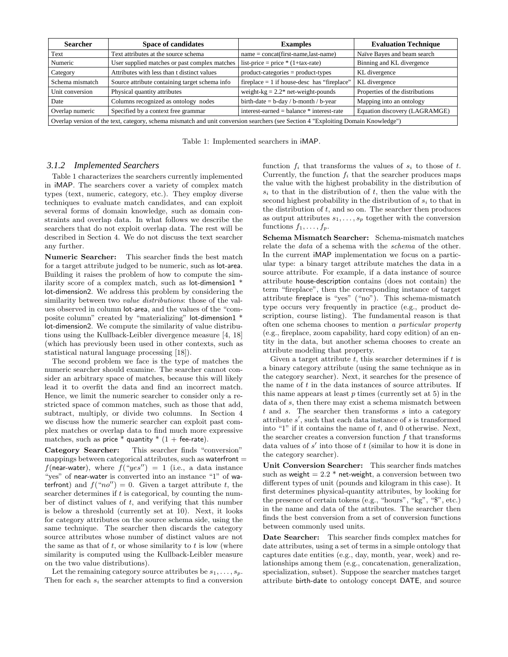| <b>Searcher</b>                                                                                                                    | <b>Space of candidates</b>                     | <b>Examples</b>                                    | <b>Evaluation Technique</b>     |  |  |
|------------------------------------------------------------------------------------------------------------------------------------|------------------------------------------------|----------------------------------------------------|---------------------------------|--|--|
| Text                                                                                                                               | Text attributes at the source schema           | $name = concat(first-name, last-name)$             | Naïve Bayes and beam search     |  |  |
| Numeric                                                                                                                            | User supplied matches or past complex matches  | list-price = price $*(1+tax-rate)$                 | Binning and KL divergence       |  |  |
| Category                                                                                                                           | Attributes with less than t distinct values    | $product\text{-categories} = product\text{-types}$ | KL divergence                   |  |  |
| Schema mismatch                                                                                                                    | Source attribute containing target schema info | $fireplace = 1$ if house-desc has "fireplace"      | KL divergence                   |  |  |
| Unit conversion                                                                                                                    | Physical quantity attributes                   | weight- $kg = 2.2$ <sup>*</sup> net-weight-pounds  | Properties of the distributions |  |  |
| Date                                                                                                                               | Columns recognized as ontology nodes           | birth-date = $b$ -day / $b$ -month / $b$ -year     | Mapping into an ontology        |  |  |
| Overlap numeric                                                                                                                    | Specified by a context free grammar            | interest-earned = balance * interest-rate          | Equation discovery (LAGRAMGE)   |  |  |
| Overlap version of the text, category, schema mismatch and unit conversion searchers (see Section 4 "Exploiting Domain Knowledge") |                                                |                                                    |                                 |  |  |

Table 1: Implemented searchers in iMAP.

## *3.1.2 Implemented Searchers*

Table 1 characterizes the searchers currently implemented in iMAP. The searchers cover a variety of complex match types (text, numeric, category, etc.). They employ diverse techniques to evaluate match candidates, and can exploit several forms of domain knowledge, such as domain constraints and overlap data. In what follows we describe the searchers that do not exploit overlap data. The rest will be described in Section 4. We do not discuss the text searcher any further.

Numeric Searcher: This searcher finds the best match for a target attribute judged to be numeric, such as lot-area. Building it raises the problem of how to compute the similarity score of a complex match, such as lot-dimension1 \* lot-dimension2. We address this problem by considering the similarity between two *value distributions*: those of the values observed in column lot-area, and the values of the "composite column" created by "materializing" lot-dimension1 \* lot-dimension2. We compute the similarity of value distributions using the Kullback-Leibler divergence measure [4, 18] (which has previously been used in other contexts, such as statistical natural language processing [18]).

The second problem we face is the type of matches the numeric searcher should examine. The searcher cannot consider an arbitrary space of matches, because this will likely lead it to overfit the data and find an incorrect match. Hence, we limit the numeric searcher to consider only a restricted space of common matches, such as those that add, subtract, multiply, or divide two columns. In Section 4 we discuss how the numeric searcher can exploit past complex matches or overlap data to find much more expressive matches, such as price  $*$  quantity  $*(1 + \text{fe--rate}).$ 

Category Searcher: This searcher finds "conversion" mappings between categorical attributes, such as waterfront  $=$  $f(\text{near-water})$ , where  $f("yes") = 1$  (i.e., a data instance "yes" of near-water is converted into an instance "1" of waterfront) and  $f("no") = 0$ . Given a target attribute t, the searcher determines if  $t$  is categorical, by counting the number of distinct values of  $t$ , and verifying that this number is below a threshold (currently set at 10). Next, it looks for category attributes on the source schema side, using the same technique. The searcher then discards the category source attributes whose number of distinct values are not the same as that of  $t$ , or whose similarity to  $t$  is low (where similarity is computed using the Kullback-Leibler measure on the two value distributions).

Let the remaining category source attributes be  $s_1, \ldots, s_n$ . Then for each  $s_i$  the searcher attempts to find a conversion function  $f_i$  that transforms the values of  $s_i$  to those of t. Currently, the function  $f_i$  that the searcher produces maps the value with the highest probability in the distribution of  $s_i$  to that in the distribution of t, then the value with the second highest probability in the distribution of  $s_i$  to that in the distribution of  $t$ , and so on. The searcher then produces as output attributes  $s_1, \ldots, s_p$  together with the conversion functions  $f_1, \ldots, f_p$ .

Schema Mismatch Searcher: Schema-mismatch matches relate the data of a schema with the schema of the other. In the current iMAP implementation we focus on a particular type: a binary target attribute matches the data in a source attribute. For example, if a data instance of source attribute house-description contains (does not contain) the term "fireplace", then the corresponding instance of target attribute fireplace is "yes" ("no"). This schema-mismatch type occurs very frequently in practice (e.g., product description, course listing). The fundamental reason is that often one schema chooses to mention a particular property (e.g., fireplace, zoom capability, hard copy edition) of an entity in the data, but another schema chooses to create an attribute modeling that property.

Given a target attribute  $t$ , this searcher determines if  $t$  is a binary category attribute (using the same technique as in the category searcher). Next, it searches for the presence of the name of  $t$  in the data instances of source attributes. If this name appears at least  $p$  times (currently set at 5) in the data of s, then there may exist a schema mismatch between t and s. The searcher then transforms s into a category attribute  $s'$ , such that each data instance of  $s$  is transformed into "1" if it contains the name of  $t$ , and 0 otherwise. Next, the searcher creates a conversion function  $f$  that transforms data values of  $s'$  into those of  $t$  (similar to how it is done in the category searcher).

Unit Conversion Searcher: This searcher finds matches such as weight  $= 2.2$  \* net-weight, a conversion between two different types of unit (pounds and kilogram in this case). It first determines physical-quantity attributes, by looking for the presence of certain tokens (e.g., "hours", "kg", "\$", etc.) in the name and data of the attributes. The searcher then finds the best conversion from a set of conversion functions between commonly used units.

Date Searcher: This searcher finds complex matches for date attributes, using a set of terms in a simple ontology that captures date entities (e.g., day, month, year, week) and relationships among them (e.g., concatenation, generalization, specialization, subset). Suppose the searcher matches target attribute birth-date to ontology concept DATE, and source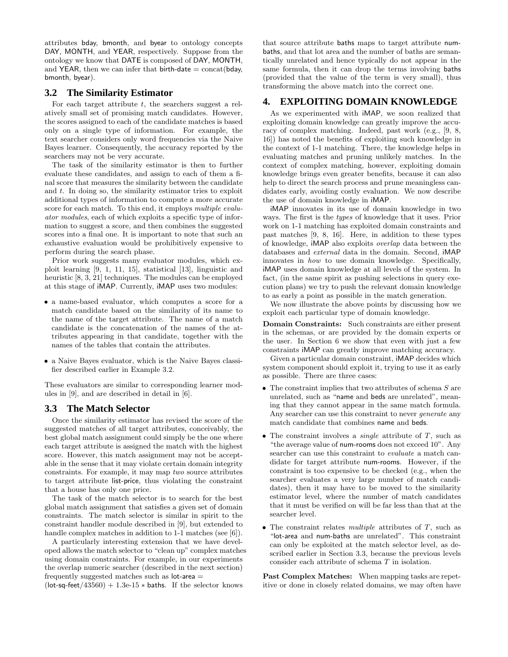attributes bday, bmonth, and byear to ontology concepts DAY, MONTH, and YEAR, respectively. Suppose from the ontology we know that DATE is composed of DAY, MONTH, and YEAR, then we can infer that birth-date  $=$  concat(bday, bmonth, byear).

#### **3.2 The Similarity Estimator**

For each target attribute  $t$ , the searchers suggest a relatively small set of promising match candidates. However, the scores assigned to each of the candidate matches is based only on a single type of information. For example, the text searcher considers only word frequencies via the Naive Bayes learner. Consequently, the accuracy reported by the searchers may not be very accurate.

The task of the similarity estimator is then to further evaluate these candidates, and assign to each of them a final score that measures the similarity between the candidate and  $t$ . In doing so, the similarity estimator tries to exploit additional types of information to compute a more accurate score for each match. To this end, it employs multiple evaluator modules, each of which exploits a specific type of information to suggest a score, and then combines the suggested scores into a final one. It is important to note that such an exhaustive evaluation would be prohibitively expensive to perform during the search phase.

Prior work suggests many evaluator modules, which exploit learning [9, 1, 11, 15], statistical [13], linguistic and heuristic [8, 3, 21] techniques. The modules can be employed at this stage of iMAP. Currently, iMAP uses two modules:

- a name-based evaluator, which computes a score for a match candidate based on the similarity of its name to the name of the target attribute. The name of a match candidate is the concatenation of the names of the attributes appearing in that candidate, together with the names of the tables that contain the attributes.
- a Naive Bayes evaluator, which is the Naive Bayes classifier described earlier in Example 3.2.

These evaluators are similar to corresponding learner modules in [9], and are described in detail in [6].

#### **3.3 The Match Selector**

Once the similarity estimator has revised the score of the suggested matches of all target attributes, conceivably, the best global match assignment could simply be the one where each target attribute is assigned the match with the highest score. However, this match assignment may not be acceptable in the sense that it may violate certain domain integrity constraints. For example, it may map two source attributes to target attribute list-price, thus violating the constraint that a house has only one price.

The task of the match selector is to search for the best global match assignment that satisfies a given set of domain constraints. The match selector is similar in spirit to the constraint handler module described in [9], but extended to handle complex matches in addition to 1-1 matches (see [6]).

A particularly interesting extension that we have developed allows the match selector to "clean up" complex matches using domain constraints. For example, in our experiments the overlap numeric searcher (described in the next section) frequently suggested matches such as  $lot-area =$ 

 $(\text{lot-sq-feet}/43560) + 1.3e-15 * \text{baths}$ . If the selector knows

that source attribute baths maps to target attribute numbaths, and that lot area and the number of baths are semantically unrelated and hence typically do not appear in the same formula, then it can drop the terms involving baths (provided that the value of the term is very small), thus transforming the above match into the correct one.

## **4. EXPLOITING DOMAIN KNOWLEDGE**

As we experimented with iMAP, we soon realized that exploiting domain knowledge can greatly improve the accuracy of complex matching. Indeed, past work (e.g., [9, 8, 16]) has noted the benefits of exploiting such knowledge in the context of 1-1 matching. There, the knowledge helps in evaluating matches and pruning unlikely matches. In the context of complex matching, however, exploiting domain knowledge brings even greater benefits, because it can also help to direct the search process and prune meaningless candidates early, avoiding costly evaluation. We now describe the use of domain knowledge in iMAP.

iMAP innovates in its use of domain knowledge in two ways. The first is the types of knowledge that it uses. Prior work on 1-1 matching has exploited domain constraints and past matches [9, 8, 16]. Here, in addition to these types of knowledge, iMAP also exploits overlap data between the databases and external data in the domain. Second, iMAP innovates in how to use domain knowledge. Specifically, iMAP uses domain knowledge at all levels of the system. In fact, (in the same spirit as pushing selections in query execution plans) we try to push the relevant domain knowledge to as early a point as possible in the match generation.

We now illustrate the above points by discussing how we exploit each particular type of domain knowledge.

Domain Constraints: Such constraints are either present in the schemas, or are provided by the domain experts or the user. In Section 6 we show that even with just a few constraints iMAP can greatly improve matching accuracy.

Given a particular domain constraint, iMAP decides which system component should exploit it, trying to use it as early as possible. There are three cases:

- The constraint implies that two attributes of schema  $S$  are unrelated, such as "name and beds are unrelated", meaning that they cannot appear in the same match formula. Any searcher can use this constraint to never generate any match candidate that combines name and beds.
- The constraint involves a *single* attribute of  $T$ , such as "the average value of num-rooms does not exceed 10". Any searcher can use this constraint to evaluate a match candidate for target attribute num-rooms. However, if the constraint is too expensive to be checked (e.g., when the searcher evaluates a very large number of match candidates), then it may have to be moved to the similarity estimator level, where the number of match candidates that it must be verified on will be far less than that at the searcher level.
- The constraint relates *multiple* attributes of  $T$ , such as "lot-area and num-baths are unrelated". This constraint can only be exploited at the match selector level, as described earlier in Section 3.3, because the previous levels consider each attribute of schema T in isolation.

Past Complex Matches: When mapping tasks are repetitive or done in closely related domains, we may often have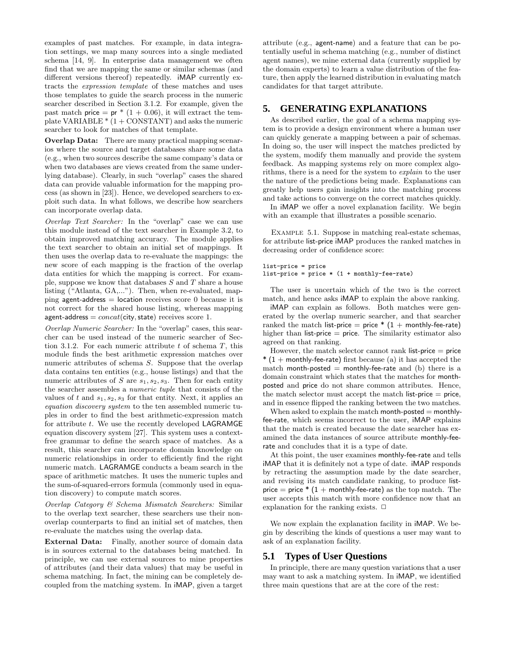examples of past matches. For example, in data integration settings, we map many sources into a single mediated schema [14, 9]. In enterprise data management we often find that we are mapping the same or similar schemas (and different versions thereof) repeatedly. iMAP currently extracts the expression template of these matches and uses those templates to guide the search process in the numeric searcher described in Section 3.1.2. For example, given the past match price =  $pr * (1 + 0.06)$ , it will extract the template VARIABLE  $*(1 + \text{CONSTANT})$  and asks the numeric searcher to look for matches of that template.

Overlap Data: There are many practical mapping scenarios where the source and target databases share some data (e.g., when two sources describe the same company's data or when two databases are views created from the same underlying database). Clearly, in such "overlap" cases the shared data can provide valuable information for the mapping process (as shown in [23]). Hence, we developed searchers to exploit such data. In what follows, we describe how searchers can incorporate overlap data.

Overlap Text Searcher: In the "overlap" case we can use this module instead of the text searcher in Example 3.2, to obtain improved matching accuracy. The module applies the text searcher to obtain an initial set of mappings. It then uses the overlap data to re-evaluate the mappings: the new score of each mapping is the fraction of the overlap data entities for which the mapping is correct. For example, suppose we know that databases  $S$  and  $T$  share a house listing ("Atlanta, GA,..."). Then, when re-evaluated, mapping agent-address  $=$  location receives score 0 because it is not correct for the shared house listing, whereas mapping agent-address =  $concat(city, state)$  receives score 1.

Overlap Numeric Searcher: In the "overlap" cases, this searcher can be used instead of the numeric searcher of Section 3.1.2. For each numeric attribute  $t$  of schema  $T$ , this module finds the best arithmetic expression matches over numeric attributes of schema S. Suppose that the overlap data contains ten entities (e.g., house listings) and that the numeric attributes of S are  $s_1, s_2, s_3$ . Then for each entity the searcher assembles a numeric tuple that consists of the values of  $t$  and  $s_1, s_2, s_3$  for that entity. Next, it applies an equation discovery system to the ten assembled numeric tuples in order to find the best arithmetic-expression match for attribute t. We use the recently developed LAGRAMGE equation discovery system [27]. This system uses a contextfree grammar to define the search space of matches. As a result, this searcher can incorporate domain knowledge on numeric relationships in order to efficiently find the right numeric match. LAGRAMGE conducts a beam search in the space of arithmetic matches. It uses the numeric tuples and the sum-of-squared-errors formula (commonly used in equation discovery) to compute match scores.

Overlap Category & Schema Mismatch Searchers: Similar to the overlap text searcher, these searchers use their nonoverlap counterparts to find an initial set of matches, then re-evaluate the matches using the overlap data.

External Data: Finally, another source of domain data is in sources external to the databases being matched. In principle, we can use external sources to mine properties of attributes (and their data values) that may be useful in schema matching. In fact, the mining can be completely decoupled from the matching system. In iMAP, given a target

attribute (e.g., agent-name) and a feature that can be potentially useful in schema matching (e.g., number of distinct agent names), we mine external data (currently supplied by the domain experts) to learn a value distribution of the feature, then apply the learned distribution in evaluating match candidates for that target attribute.

#### **5. GENERATING EXPLANATIONS**

As described earlier, the goal of a schema mapping system is to provide a design environment where a human user can quickly generate a mapping between a pair of schemas. In doing so, the user will inspect the matches predicted by the system, modify them manually and provide the system feedback. As mapping systems rely on more complex algorithms, there is a need for the system to explain to the user the nature of the predictions being made. Explanations can greatly help users gain insights into the matching process and take actions to converge on the correct matches quickly.

In iMAP we offer a novel explanation facility. We begin with an example that illustrates a possible scenario.

Example 5.1. Suppose in matching real-estate schemas, for attribute list-price iMAP produces the ranked matches in decreasing order of confidence score:

```
list-price = price
list-price = price * (1 + monthly-fee-rate)
```
The user is uncertain which of the two is the correct match, and hence asks iMAP to explain the above ranking.

iMAP can explain as follows. Both matches were generated by the overlap numeric searcher, and that searcher ranked the match list-price = price  $*(1 + \text{monthly-fee-rate})$ higher than list-price = price. The similarity estimator also agreed on that ranking.

However, the match selector cannot rank list-price  $=$  price  $*(1 + \text{monthly-free-rate})$  first because (a) it has accepted the match month-posted = monthly-fee-rate and (b) there is a domain constraint which states that the matches for monthposted and price do not share common attributes. Hence, the match selector must accept the match list-price  $=$  price, and in essence flipped the ranking between the two matches.

When asked to explain the match month-posted  $=$  monthlyfee-rate, which seems incorrect to the user, iMAP explains that the match is created because the date searcher has examined the data instances of source attribute monthly-feerate and concludes that it is a type of date.

At this point, the user examines monthly-fee-rate and tells iMAP that it is definitely not a type of date. iMAP responds by retracting the assumption made by the date searcher, and revising its match candidate ranking, to produce listprice = price  $*(1 + \text{monthly-fee-rate})$  as the top match. The user accepts this match with more confidence now that an explanation for the ranking exists.  $\Box$ 

We now explain the explanation facility in *iMAP*. We begin by describing the kinds of questions a user may want to ask of an explanation facility.

## **5.1 Types of User Questions**

In principle, there are many question variations that a user may want to ask a matching system. In iMAP, we identified three main questions that are at the core of the rest: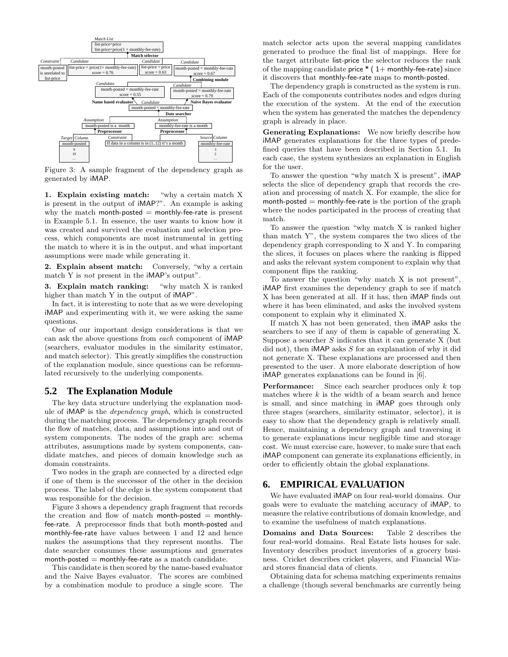

Figure 3: A sample fragment of the dependency graph as generated by iMAP.

1. Explain existing match: "why a certain match X is present in the output of iMAP?". An example is asking why the match month-posted  $=$  monthly-fee-rate is present in Example 5.1. In essence, the user wants to know how it was created and survived the evaluation and selection process, which components are most instrumental in getting the match to where it is in the output, and what important assumptions were made while generating it.

2. Explain absent match: Conversely, "why a certain match Y is not present in the iMAP's output".

3. Explain match ranking: "why match X is ranked higher than match Y in the output of iMAP".

In fact, it is interesting to note that as we were developing iMAP and experimenting with it, we were asking the same questions.

One of our important design considerations is that we can ask the above questions from each component of iMAP (searchers, evaluator modules in the similarity estimator, and match selector). This greatly simplifies the construction of the explanation module, since questions can be reformulated recursively to the underlying components.

### **5.2 The Explanation Module**

The key data structure underlying the explanation module of iMAP is the dependency graph, which is constructed during the matching process. The dependency graph records the flow of matches, data, and assumptions into and out of system components. The nodes of the graph are: schema attributes, assumptions made by system components, candidate matches, and pieces of domain knowledge such as domain constraints.

Two nodes in the graph are connected by a directed edge if one of them is the successor of the other in the decision process. The label of the edge is the system component that was responsible for the decision.

Figure 3 shows a dependency graph fragment that records the creation and flow of match month-posted  $=$  monthlyfee-rate. A preprocessor finds that both month-posted and monthly-fee-rate have values between 1 and 12 and hence makes the assumptions that they represent months. The date searcher consumes these assumptions and generates month-posted  $=$  monthly-fee-rate as a match candidate.

This candidate is then scored by the name-based evaluator and the Naive Bayes evaluator. The scores are combined by a combination module to produce a single score. The match selector acts upon the several mapping candidates generated to produce the final list of mappings. Here for the target attribute list-price the selector reduces the rank of the mapping candidate price  $*(1+$  monthly-fee-rate) since it discovers that monthly-fee-rate maps to month-posted.

The dependency graph is constructed as the system is run. Each of the components contributes nodes and edges during the execution of the system. At the end of the execution when the system has generated the matches the dependency graph is already in place.

Generating Explanations: We now briefly describe how iMAP generates explanations for the three types of predefined queries that have been described in Section 5.1. In each case, the system synthesizes an explanation in English for the user.

To answer the question "why match X is present", iMAP selects the slice of dependency graph that records the creation and processing of match X. For example, the slice for month-posted  $=$  monthly-fee-rate is the portion of the graph where the nodes participated in the process of creating that match.

To answer the question "why match X is ranked higher than match Y", the system compares the two slices of the dependency graph corresponding to X and Y. In comparing the slices, it focuses on places where the ranking is flipped and asks the relevant system component to explain why that component flips the ranking.

To answer the question "why match X is not present", iMAP first examines the dependency graph to see if match X has been generated at all. If it has, then iMAP finds out where it has been eliminated, and asks the involved system component to explain why it eliminated X.

If match X has not been generated, then iMAP asks the searchers to see if any of them is capable of generating X. Suppose a searcher  $S$  indicates that it can generate  $X$  (but did not), then  $\mathsf{iMAP}$  asks  $S$  for an explanation of why it did not generate X. These explanations are processed and then presented to the user. A more elaborate description of how iMAP generates explanations can be found in [6].

**Performance:** Since each searcher produces only  $k$  top matches where  $k$  is the width of a beam search and hence is small, and since matching in iMAP goes through only three stages (searchers, similarity estimator, selector), it is easy to show that the dependency graph is relatively small. Hence, maintaining a dependency graph and traversing it to generate explanations incur negligible time and storage cost. We must exercise care, however, to make sure that each iMAP component can generate its explanations efficiently, in order to efficiently obtain the global explanations.

## **6. EMPIRICAL EVALUATION**

We have evaluated iMAP on four real-world domains. Our goals were to evaluate the matching accuracy of iMAP, to measure the relative contributions of domain knowledge, and to examine the usefulness of match explanations.

Domains and Data Sources: Table 2 describes the four real-world domains. Real Estate lists houses for sale. Inventory describes product inventories of a grocery business. Cricket describes cricket players, and Financial Wizard stores financial data of clients.

Obtaining data for schema matching experiments remains a challenge (though several benchmarks are currently being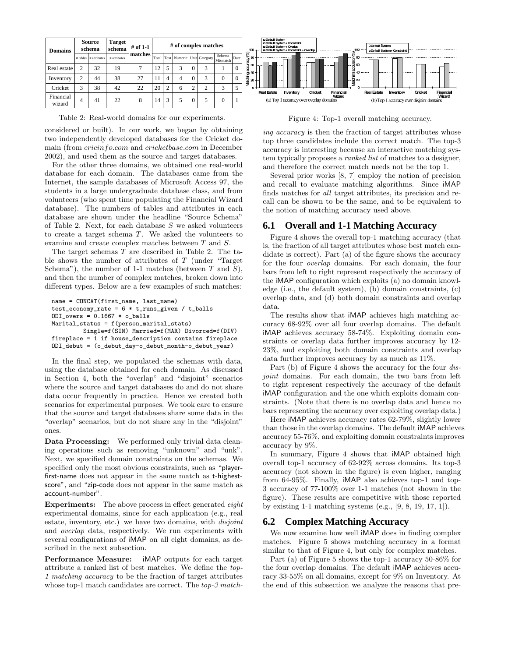| <b>Domains</b>      | <b>Source</b><br>schema                    |    | <b>Target</b><br>schema | # of $1-1$ | # of complex matches |                                  |   |                |                    |      |          |
|---------------------|--------------------------------------------|----|-------------------------|------------|----------------------|----------------------------------|---|----------------|--------------------|------|----------|
|                     | $#$ attributes<br># attributes<br># tables |    | matches                 | Total      |                      | Text   Numeric   Unit   Category |   |                | Schema<br>Mismatch | Date |          |
| Real estate         | $\overline{c}$                             | 32 | 19                      |            | 12                   | 5                                | 3 | $\theta$       | 3                  |      | $\Omega$ |
| Inventory           | $\overline{c}$                             | 44 | 38                      | 27         | 11                   | $\overline{4}$                   | 4 | $\theta$       | 3                  | 0    | $\Omega$ |
| Cricket             | 3                                          | 38 | 42                      | 22         | 20                   | $\overline{c}$                   | 6 | $\overline{2}$ | $\overline{c}$     | 3    | 5        |
| Financial<br>wizard | 4                                          | 41 | 22                      | 8          | 14                   | 3                                | 5 | 0              | 5                  | 0    |          |

Table 2: Real-world domains for our experiments.

considered or built). In our work, we began by obtaining two independently developed databases for the Cricket domain (from cricinfo.com and cricketbase.com in December 2002), and used them as the source and target databases.

For the other three domains, we obtained one real-world database for each domain. The databases came from the Internet, the sample databases of Microsoft Access 97, the students in a large undergraduate database class, and from volunteers (who spent time populating the Financial Wizard database). The numbers of tables and attributes in each database are shown under the headline "Source Schema" of Table 2. Next, for each database S we asked volunteers to create a target schema T. We asked the volunteers to examine and create complex matches between T and S.

The target schemas T are described in Table 2. The table shows the number of attributes of  $T$  (under "Target") Schema"), the number of 1-1 matches (between  $T$  and  $S$ ), and then the number of complex matches, broken down into different types. Below are a few examples of such matches:

```
name = CONCAT(first_name, last_name)
test_economy_rate = 6 * t_runs_given / t_balls
ODI_overs = 0.1667 * o_ballsMarital_status = f(person_marital_stats)
         Single=f(SIN) Married=f(MAR) Divorced=f(DIV)
fireplace = 1 if house_description contains fireplace
ODI_debut = (o_debut_day-o_debut_month-o_debut_year)
```
In the final step, we populated the schemas with data, using the database obtained for each domain. As discussed in Section 4, both the "overlap" and "disjoint" scenarios where the source and target databases do and do not share data occur frequently in practice. Hence we created both scenarios for experimental purposes. We took care to ensure that the source and target databases share some data in the "overlap" scenarios, but do not share any in the "disjoint" ones.

Data Processing: We performed only trivial data cleaning operations such as removing "unknown" and "unk". Next, we specified domain constraints on the schemas. We specified only the most obvious constraints, such as "playerfirst-name does not appear in the same match as t-highestscore", and "zip-code does not appear in the same match as account-number".

Experiments: The above process in effect generated eight experimental domains, since for each application (e.g., real estate, inventory, etc.) we have two domains, with  $disjoint$ and overlap data, respectively. We run experiments with several configurations of iMAP on all eight domains, as described in the next subsection.

Performance Measure: iMAP outputs for each target attribute a ranked list of best matches. We define the top-1 matching accuracy to be the fraction of target attributes whose top-1 match candidates are correct. The top-3 match-



Figure 4: Top-1 overall matching accuracy.

ing accuracy is then the fraction of target attributes whose top three candidates include the correct match. The top-3 accuracy is interesting because an interactive matching system typically proposes a ranked list of matches to a designer, and therefore the correct match needs not be the top 1.

Several prior works [8, 7] employ the notion of precision and recall to evaluate matching algorithms. Since iMAP finds matches for all target attributes, its precision and recall can be shown to be the same, and to be equivalent to the notion of matching accuracy used above.

## **6.1 Overall and 1-1 Matching Accuracy**

Figure 4 shows the overall top-1 matching accuracy (that is, the fraction of all target attributes whose best match candidate is correct). Part (a) of the figure shows the accuracy for the four overlap domains. For each domain, the four bars from left to right represent respectively the accuracy of the iMAP configuration which exploits (a) no domain knowledge (i.e., the default system), (b) domain constraints, (c) overlap data, and (d) both domain constraints and overlap data.

The results show that iMAP achieves high matching accuracy 68-92% over all four overlap domains. The default iMAP achieves accuracy 58-74%. Exploiting domain constraints or overlap data further improves accuracy by 12- 23%, and exploiting both domain constraints and overlap data further improves accuracy by as much as 11%.

Part (b) of Figure 4 shows the accuracy for the four *dis*joint domains. For each domain, the two bars from left to right represent respectively the accuracy of the default iMAP configuration and the one which exploits domain constraints. (Note that there is no overlap data and hence no bars representing the accuracy over exploiting overlap data.)

Here iMAP achieves accuracy rates 62-79%, slightly lower than those in the overlap domains. The default iMAP achieves accuracy 55-76%, and exploiting domain constraints improves accuracy by 9%.

In summary, Figure 4 shows that iMAP obtained high overall top-1 accuracy of 62-92% across domains. Its top-3 accuracy (not shown in the figure) is even higher, ranging from 64-95%. Finally, iMAP also achieves top-1 and top-3 accuracy of 77-100% over 1-1 matches (not shown in the figure). These results are competitive with those reported by existing 1-1 matching systems (e.g., [9, 8, 19, 17, 1]).

#### **6.2 Complex Matching Accuracy**

We now examine how well iMAP does in finding complex matches. Figure 5 shows matching accuracy in a format similar to that of Figure 4, but only for complex matches.

Part (a) of Figure 5 shows the top-1 accuracy 50-86% for the four overlap domains. The default iMAP achieves accuracy 33-55% on all domains, except for 9% on Inventory. At the end of this subsection we analyze the reasons that pre-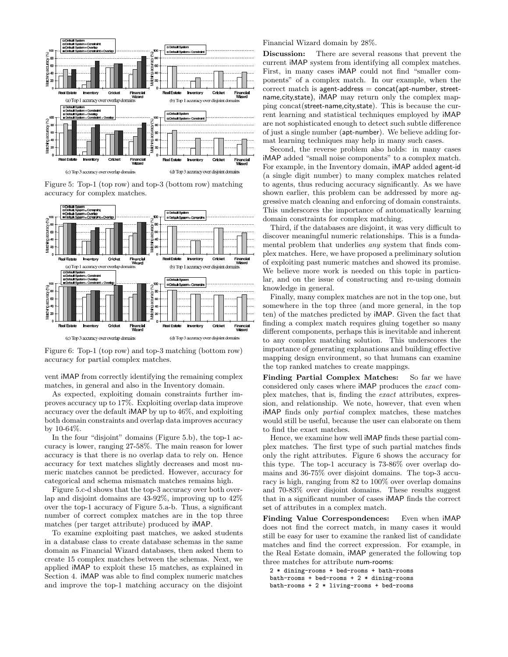

Figure 5: Top-1 (top row) and top-3 (bottom row) matching accuracy for complex matches.



Figure 6: Top-1 (top row) and top-3 matching (bottom row) accuracy for partial complex matches.

vent iMAP from correctly identifying the remaining complex matches, in general and also in the Inventory domain.

As expected, exploiting domain constraints further improves accuracy up to 17%. Exploiting overlap data improve accuracy over the default iMAP by up to 46%, and exploiting both domain constraints and overlap data improves accuracy by 10-64%.

In the four "disjoint" domains (Figure 5.b), the top-1 accuracy is lower, ranging 27-58%. The main reason for lower accuracy is that there is no overlap data to rely on. Hence accuracy for text matches slightly decreases and most numeric matches cannot be predicted. However, accuracy for categorical and schema mismatch matches remains high.

Figure 5.c-d shows that the top-3 accuracy over both overlap and disjoint domains are 43-92%, improving up to 42% over the top-1 accuracy of Figure 5.a-b. Thus, a significant number of correct complex matches are in the top three matches (per target attribute) produced by iMAP.

To examine exploiting past matches, we asked students in a database class to create database schemas in the same domain as Financial Wizard databases, then asked them to create 15 complex matches between the schemas. Next, we applied iMAP to exploit these 15 matches, as explained in Section 4. iMAP was able to find complex numeric matches and improve the top-1 matching accuracy on the disjoint

Financial Wizard domain by 28%.

Discussion: There are several reasons that prevent the current iMAP system from identifying all complex matches. First, in many cases iMAP could not find "smaller components" of a complex match. In our example, when the  $correct \text{ match } is \text{ agent-address} = concat(\text{apt-number}, \text{ street-}$ name,city,state), iMAP may return only the complex mapping concat(street-name,city,state). This is because the current learning and statistical techniques employed by iMAP are not sophisticated enough to detect such subtle difference of just a single number (apt-number). We believe adding format learning techniques may help in many such cases.

Second, the reverse problem also holds: in many cases iMAP added "small noise components" to a complex match. For example, in the Inventory domain, iMAP added agent-id (a single digit number) to many complex matches related to agents, thus reducing accuracy significantly. As we have shown earlier, this problem can be addressed by more aggressive match cleaning and enforcing of domain constraints. This underscores the importance of automatically learning domain constraints for complex matching.

Third, if the databases are disjoint, it was very difficult to discover meaningful numeric relationships. This is a fundamental problem that underlies any system that finds complex matches. Here, we have proposed a preliminary solution of exploiting past numeric matches and showed its promise. We believe more work is needed on this topic in particular, and on the issue of constructing and re-using domain knowledge in general.

Finally, many complex matches are not in the top one, but somewhere in the top three (and more general, in the top ten) of the matches predicted by iMAP. Given the fact that finding a complex match requires gluing together so many different components, perhaps this is inevitable and inherent to any complex matching solution. This underscores the importance of generating explanations and building effective mapping design environment, so that humans can examine the top ranked matches to create mappings.

Finding Partial Complex Matches: So far we have considered only cases where iMAP produces the exact complex matches, that is, finding the exact attributes, expression, and relationship. We note, however, that even when iMAP finds only partial complex matches, these matches would still be useful, because the user can elaborate on them to find the exact matches.

Hence, we examine how well iMAP finds these partial complex matches. The first type of such partial matches finds only the right attributes. Figure 6 shows the accuracy for this type. The top-1 accuracy is 73-86% over overlap domains and 36-75% over disjoint domains. The top-3 accuracy is high, ranging from 82 to 100% over overlap domains and 70-83% over disjoint domains. These results suggest that in a significant number of cases iMAP finds the correct set of attributes in a complex match.

Finding Value Correspondences: Even when iMAP does not find the correct match, in many cases it would still be easy for user to examine the ranked list of candidate matches and find the correct expression. For example, in the Real Estate domain, iMAP generated the following top three matches for attribute num-rooms:

2 \* dining-rooms + bed-rooms + bath-rooms bath-rooms + bed-rooms + 2 \* dining-rooms bath-rooms + 2 \* living-rooms + bed-rooms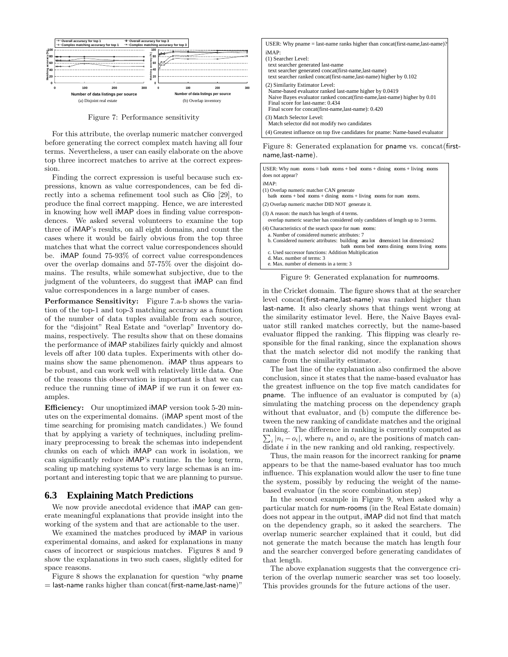

Figure 7: Performance sensitivity

For this attribute, the overlap numeric matcher converged before generating the correct complex match having all four terms. Nevertheless, a user can easily elaborate on the above top three incorrect matches to arrive at the correct expression.

Finding the correct expression is useful because such expressions, known as value correspondences, can be fed directly into a schema refinement tool such as Clio [29], to produce the final correct mapping. Hence, we are interested in knowing how well iMAP does in finding value correspondences. We asked several volunteers to examine the top three of iMAP's results, on all eight domains, and count the cases where it would be fairly obvious from the top three matches that what the correct value correspondences should be. iMAP found 75-93% of correct value correspondences over the overlap domains and 57-75% over the disjoint domains. The results, while somewhat subjective, due to the judgment of the volunteers, do suggest that iMAP can find value correspondences in a large number of cases.

Performance Sensitivity: Figure 7.a-b shows the variation of the top-1 and top-3 matching accuracy as a function of the number of data tuples available from each source, for the "disjoint" Real Estate and "overlap" Inventory domains, respectively. The results show that on these domains the performance of iMAP stabilizes fairly quickly and almost levels off after 100 data tuples. Experiments with other domains show the same phenomenon. iMAP thus appears to be robust, and can work well with relatively little data. One of the reasons this observation is important is that we can reduce the running time of iMAP if we run it on fewer examples.

Efficiency: Our unoptimized iMAP version took 5-20 minutes on the experimental domains. (iMAP spent most of the time searching for promising match candidates.) We found that by applying a variety of techniques, including preliminary preprocessing to break the schemas into independent chunks on each of which iMAP can work in isolation, we can significantly reduce iMAP's runtime. In the long term, scaling up matching systems to very large schemas is an important and interesting topic that we are planning to pursue.

#### **6.3 Explaining Match Predictions**

We now provide anecdotal evidence that iMAP can generate meaningful explanations that provide insight into the working of the system and that are actionable to the user.

We examined the matches produced by iMAP in various experimental domains, and asked for explanations in many cases of incorrect or suspicious matches. Figures 8 and 9 show the explanations in two such cases, slightly edited for space reasons.

Figure 8 shows the explanation for question "why pname  $=$  last-name ranks higher than concat(first-name,last-name)"

| USER: Why pname $=$ last-name ranks higher than concat (first-name, last-name)?                                                                                                                                                                                   |
|-------------------------------------------------------------------------------------------------------------------------------------------------------------------------------------------------------------------------------------------------------------------|
| iMAP:<br>(1) Searcher Level:<br>text searcher generated last-name<br>text searcher generated concat(first-name,last-name)<br>text searcher ranked concat(first-name, last-name) higher by 0.102                                                                   |
| (2) Similarity Estimator Level:<br>Name-based evaluator ranked last-name higher by 0.0419<br>Naive Bayes evaluator ranked concat(first-name,last-name) higher by 0.01<br>Final score for last-name: 0.434<br>Final score for concat(first-name, last-name): 0.420 |
| (3) Match Selector Level:<br>Match selector did not modify two candidates<br>(4) Greatest influence on top five candidates for pname: Name-based evaluator                                                                                                        |

Figure 8: Generated explanation for pname vs. concat(firstname,last-name).

| USER: Why num rooms = bath rooms + bed rooms + dining rooms + living rooms<br>does not appear?                                                                                                                                                                                                                                                                                |
|-------------------------------------------------------------------------------------------------------------------------------------------------------------------------------------------------------------------------------------------------------------------------------------------------------------------------------------------------------------------------------|
| iMAP:<br>(1) Overlap numeric matcher CAN generate<br>bath $\text{rooms} + \text{bed}$ rooms + dining rooms + living rooms for num rooms.                                                                                                                                                                                                                                      |
| (2) Overlap numeric matcher DID NOT generate it.                                                                                                                                                                                                                                                                                                                              |
| (3) A reason: the match has length of 4 terms.<br>overlap numeric searcher has considered only candidates of length up to 3 terms.                                                                                                                                                                                                                                            |
| (4) Characteristics of the search space for num rooms:<br>a. Number of considered numeric attributes: 7<br>b. Considered numeric attributes: building area lot dimension 1 lot dimension 2<br>bath rooms bed rooms dining rooms living rooms<br>c. Used successor functions: Addition Multiplication<br>d. Max. number of terms: 3<br>e. Max. number of elements in a term: 3 |

Figure 9: Generated explanation for numrooms.

in the Cricket domain. The figure shows that at the searcher level concat(first-name,last-name) was ranked higher than last-name. It also clearly shows that things went wrong at the similarity estimator level. Here, the Naive Bayes evaluator still ranked matches correctly, but the name-based evaluator flipped the ranking. This flipping was clearly responsible for the final ranking, since the explanation shows that the match selector did not modify the ranking that came from the similarity estimator.

The last line of the explanation also confirmed the above conclusion, since it states that the name-based evaluator has the greatest influence on the top five match candidates for pname. The influence of an evaluator is computed by (a) simulating the matching process on the dependency graph without that evaluator, and (b) compute the difference between the new ranking of candidate matches and the original ranking. The difference in ranking is currently computed as  $\sum_i |n_i - o_i|$ , where  $n_i$  and  $o_i$  are the positions of match candidate  $i$  in the new ranking and old ranking, respectively.

Thus, the main reason for the incorrect ranking for pname appears to be that the name-based evaluator has too much influence. This explanation would allow the user to fine tune the system, possibly by reducing the weight of the namebased evaluator (in the score combination step)

In the second example in Figure 9, when asked why a particular match for num-rooms (in the Real Estate domain) does not appear in the output, iMAP did not find that match on the dependency graph, so it asked the searchers. The overlap numeric searcher explained that it could, but did not generate the match because the match has length four and the searcher converged before generating candidates of that length.

The above explanation suggests that the convergence criterion of the overlap numeric searcher was set too loosely. This provides grounds for the future actions of the user.